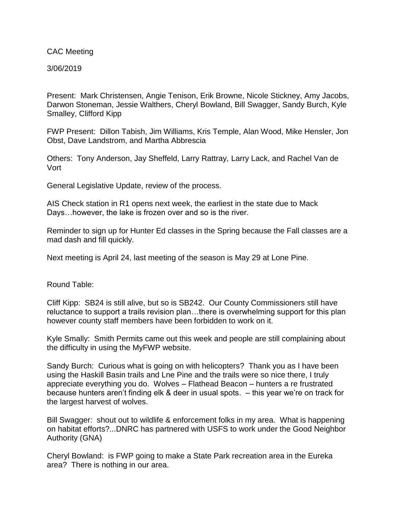CAC Meeting

3/06/2019

Present: Mark Christensen, Angie Tenison, Erik Browne, Nicole Stickney, Amy Jacobs, Darwon Stoneman, Jessie Walthers, Cheryl Bowland, Bill Swagger, Sandy Burch, Kyle Smalley, Clifford Kipp

FWP Present: Dillon Tabish, Jim Williams, Kris Temple, Alan Wood, Mike Hensler, Jon Obst, Dave Landstrom, and Martha Abbrescia

Others: Tony Anderson, Jay Sheffeld, Larry Rattray, Larry Lack, and Rachel Van de Vort

General Legislative Update, review of the process.

AIS Check station in R1 opens next week, the earliest in the state due to Mack Days…however, the lake is frozen over and so is the river.

Reminder to sign up for Hunter Ed classes in the Spring because the Fall classes are a mad dash and fill quickly.

Next meeting is April 24, last meeting of the season is May 29 at Lone Pine.

Round Table:

Cliff Kipp: SB24 is still alive, but so is SB242. Our County Commissioners still have reluctance to support a trails revision plan…there is overwhelming support for this plan however county staff members have been forbidden to work on it.

Kyle Smally: Smith Permits came out this week and people are still complaining about the difficulty in using the MyFWP website.

Sandy Burch: Curious what is going on with helicopters? Thank you as I have been using the Haskill Basin trails and Lne Pine and the trails were so nice there, I truly appreciate everything you do. Wolves – Flathead Beacon – hunters a re frustrated because hunters aren't finding elk & deer in usual spots. – this year we're on track for the largest harvest of wolves.

Bill Swagger: shout out to wildlife & enforcement folks in my area. What is happening on habitat efforts?...DNRC has partnered with USFS to work under the Good Neighbor Authority (GNA)

Cheryl Bowland: is FWP going to make a State Park recreation area in the Eureka area? There is nothing in our area.